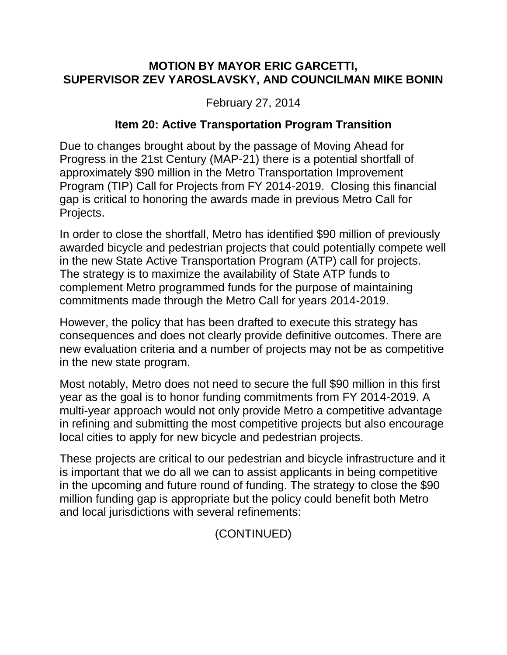## **MOTION BY MAYOR ERIC GARCETTI, SUPERVISOR ZEV YAROSLAVSKY, AND COUNCILMAN MIKE BONIN**

February 27, 2014

## **Item 20: Active Transportation Program Transition**

Due to changes brought about by the passage of Moving Ahead for Progress in the 21st Century (MAP-21) there is a potential shortfall of approximately \$90 million in the Metro Transportation Improvement Program (TIP) Call for Projects from FY 2014-2019. Closing this financial gap is critical to honoring the awards made in previous Metro Call for Projects.

In order to close the shortfall, Metro has identified \$90 million of previously awarded bicycle and pedestrian projects that could potentially compete well in the new State Active Transportation Program (ATP) call for projects. The strategy is to maximize the availability of State ATP funds to complement Metro programmed funds for the purpose of maintaining commitments made through the Metro Call for years 2014-2019.

However, the policy that has been drafted to execute this strategy has consequences and does not clearly provide definitive outcomes. There are new evaluation criteria and a number of projects may not be as competitive in the new state program.

Most notably, Metro does not need to secure the full \$90 million in this first year as the goal is to honor funding commitments from FY 2014-2019. A multi-year approach would not only provide Metro a competitive advantage in refining and submitting the most competitive projects but also encourage local cities to apply for new bicycle and pedestrian projects.

These projects are critical to our pedestrian and bicycle infrastructure and it is important that we do all we can to assist applicants in being competitive in the upcoming and future round of funding. The strategy to close the \$90 million funding gap is appropriate but the policy could benefit both Metro and local jurisdictions with several refinements:

(CONTINUED)